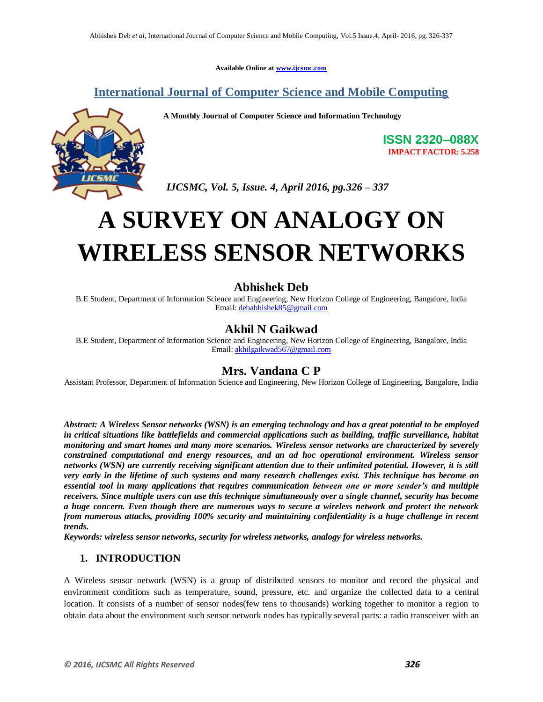**Available Online at www.ijcsmc.com**

# **International Journal of Computer Science and Mobile Computing**

 **A Monthly Journal of Computer Science and Information Technology**



**ISSN 2320–088X IMPACT FACTOR: 5.258**

 *IJCSMC, Vol. 5, Issue. 4, April 2016, pg.326 – 337*

# **A SURVEY ON ANALOGY ON WIRELESS SENSOR NETWORKS**

# **Abhishek Deb**

B.E Student, Department of Information Science and Engineering, New Horizon College of Engineering, Bangalore, India Email: debabhishek85@gmail.com

# **Akhil N Gaikwad**

B.E Student, Department of Information Science and Engineering, New Horizon College of Engineering, Bangalore, India Email: akhilgaikwad567@gmail.com

# **Mrs. Vandana C P**

Assistant Professor, Department of Information Science and Engineering, New Horizon College of Engineering, Bangalore, India

*Abstract: A Wireless Sensor networks (WSN) is an emerging technology and has a great potential to be employed in critical situations like battlefields and commercial applications such as building, traffic surveillance, habitat monitoring and smart homes and many more scenarios. Wireless sensor networks are characterized by severely constrained computational and energy resources, and an ad hoc operational environment. Wireless sensor networks (WSN) are currently receiving significant attention due to their unlimited potential. However, it is still very early in the lifetime of such systems and many research challenges exist. This technique has become an essential tool in many applications that requires communication between one or more sender's and multiple*  receivers. Since multiple users can use this technique simultaneously over a single channel, security has become *a huge concern. Even though there are numerous ways to secure a wireless network and protect the network from numerous attacks, providing 100% security and maintaining confidentiality is a huge challenge in recent trends.* 

*Keywords: wireless sensor networks, security for wireless networks, analogy for wireless networks.*

# **1. INTRODUCTION**

A Wireless sensor network (WSN) is a group of distributed sensors to monitor and record the physical and environment conditions such as temperature, sound, pressure, etc. and organize the collected data to a central location. It consists of a number of sensor nodes(few tens to thousands) working together to monitor a region to obtain data about the environment such sensor network nodes has typically several parts: a radio transceiver with an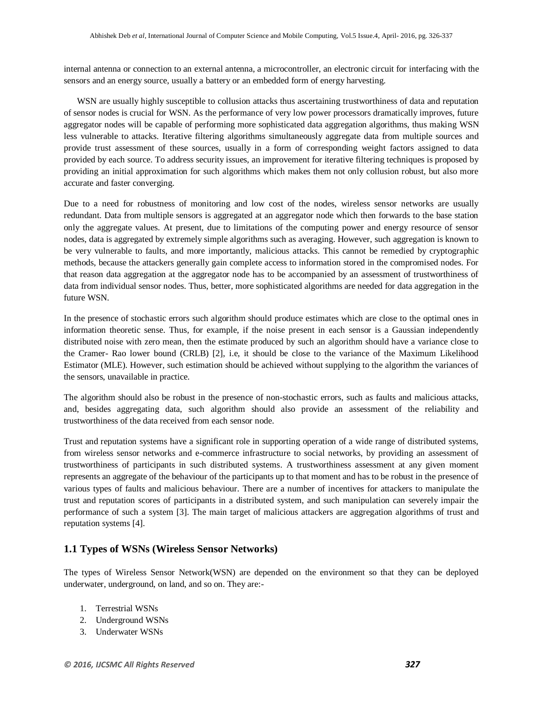internal antenna or connection to an external antenna, a microcontroller, an electronic circuit for interfacing with the sensors and an energy source, usually a battery or an embedded form of energy harvesting.

 WSN are usually highly susceptible to collusion attacks thus ascertaining trustworthiness of data and reputation of sensor nodes is crucial for WSN. As the performance of very low power processors dramatically improves, future aggregator nodes will be capable of performing more sophisticated data aggregation algorithms, thus making WSN less vulnerable to attacks. Iterative filtering algorithms simultaneously aggregate data from multiple sources and provide trust assessment of these sources, usually in a form of corresponding weight factors assigned to data provided by each source. To address security issues, an improvement for iterative filtering techniques is proposed by providing an initial approximation for such algorithms which makes them not only collusion robust, but also more accurate and faster converging.

Due to a need for robustness of monitoring and low cost of the nodes, wireless sensor networks are usually redundant. Data from multiple sensors is aggregated at an aggregator node which then forwards to the base station only the aggregate values. At present, due to limitations of the computing power and energy resource of sensor nodes, data is aggregated by extremely simple algorithms such as averaging. However, such aggregation is known to be very vulnerable to faults, and more importantly, malicious attacks. This cannot be remedied by cryptographic methods, because the attackers generally gain complete access to information stored in the compromised nodes. For that reason data aggregation at the aggregator node has to be accompanied by an assessment of trustworthiness of data from individual sensor nodes. Thus, better, more sophisticated algorithms are needed for data aggregation in the future WSN.

In the presence of stochastic errors such algorithm should produce estimates which are close to the optimal ones in information theoretic sense. Thus, for example, if the noise present in each sensor is a Gaussian independently distributed noise with zero mean, then the estimate produced by such an algorithm should have a variance close to the Cramer- Rao lower bound (CRLB) [2], i.e, it should be close to the variance of the Maximum Likelihood Estimator (MLE). However, such estimation should be achieved without supplying to the algorithm the variances of the sensors, unavailable in practice.

The algorithm should also be robust in the presence of non-stochastic errors, such as faults and malicious attacks, and, besides aggregating data, such algorithm should also provide an assessment of the reliability and trustworthiness of the data received from each sensor node.

Trust and reputation systems have a significant role in supporting operation of a wide range of distributed systems, from wireless sensor networks and e-commerce infrastructure to social networks, by providing an assessment of trustworthiness of participants in such distributed systems. A trustworthiness assessment at any given moment represents an aggregate of the behaviour of the participants up to that moment and has to be robust in the presence of various types of faults and malicious behaviour. There are a number of incentives for attackers to manipulate the trust and reputation scores of participants in a distributed system, and such manipulation can severely impair the performance of such a system [3]. The main target of malicious attackers are aggregation algorithms of trust and reputation systems [4].

## **1.1 Types of WSNs (Wireless Sensor Networks)**

The types of Wireless Sensor Network(WSN) are depended on the environment so that they can be deployed underwater, underground, on land, and so on. They are:-

- 1. Terrestrial WSNs
- 2. Underground WSNs
- 3. Underwater WSNs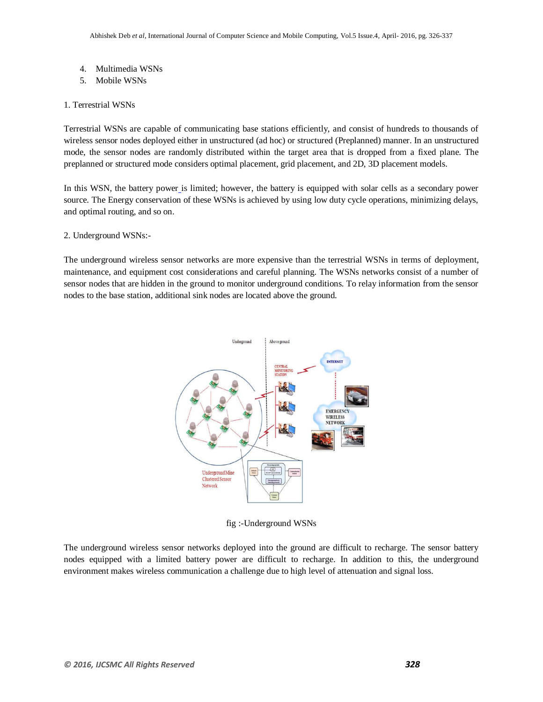- 4. Multimedia WSNs
- 5. Mobile WSNs

#### 1. Terrestrial WSNs

Terrestrial WSNs are capable of communicating base stations efficiently, and consist of hundreds to thousands of wireless sensor nodes deployed either in unstructured (ad hoc) or structured (Preplanned) manner. In an unstructured mode, the sensor nodes are randomly distributed within the target area that is dropped from a fixed plane. The preplanned or structured mode considers optimal placement, grid placement, and 2D, 3D placement models.

In this WSN, the [battery](https://www.elprocus.com/battery-charger-timer-tips/) power is limited; however, the battery is equipped with solar cells as a secondary power source. The Energy conservation of these WSNs is achieved by using low duty cycle operations, minimizing delays, and optimal routing, and so on.

#### 2. Underground WSNs:-

The underground wireless sensor networks are more expensive than the terrestrial WSNs in terms of deployment, maintenance, and equipment cost considerations and careful planning. The WSNs networks consist of a number of sensor nodes that are hidden in the ground to monitor underground conditions. To relay information from the sensor nodes to the base station, additional sink nodes are located above the ground.



fig :-Underground WSNs

The underground wireless sensor networks deployed into the ground are difficult to recharge. The sensor battery nodes equipped with a limited battery power are difficult to recharge. In addition to this, the underground environment makes wireless communication a challenge due to high level of attenuation and signal loss.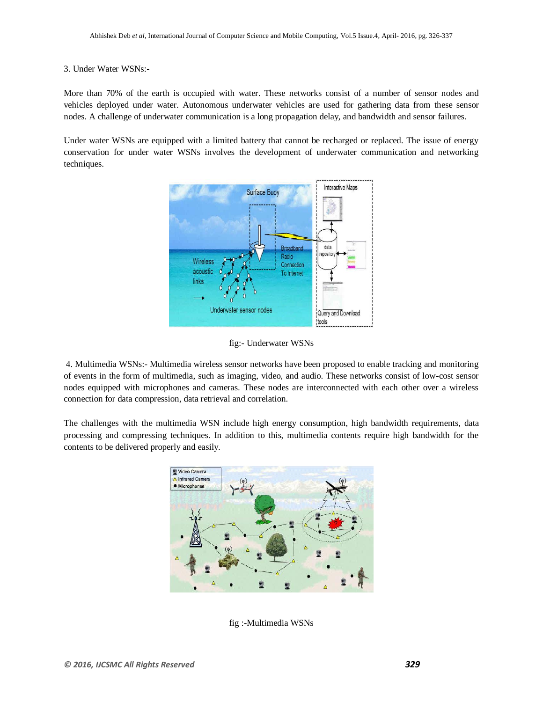#### 3. Under Water WSNs:-

More than 70% of the earth is occupied with water. These networks consist of a number of sensor nodes and vehicles deployed under water. Autonomous underwater vehicles are used for gathering data from these sensor nodes. A challenge of underwater communication is a long propagation delay, and bandwidth and sensor failures.

Under water WSNs are equipped with a limited battery that cannot be recharged or replaced. The issue of energy conservation for under water WSNs involves the development of underwater communication and networking techniques.



#### fig:- Underwater WSNs

4. Multimedia WSNs:- Multimedia wireless sensor networks have been proposed to enable tracking and monitoring of events in the form of multimedia, such as imaging, video, and audio. These networks consist of low-cost sensor nodes equipped with microphones and cameras. These nodes are interconnected with each other over a wireless connection for data compression, data retrieval and correlation.

The challenges with the multimedia WSN include high energy consumption, high bandwidth requirements, data processing and compressing techniques. In addition to this, multimedia contents require high bandwidth for the contents to be delivered properly and easily.



fig :-Multimedia WSNs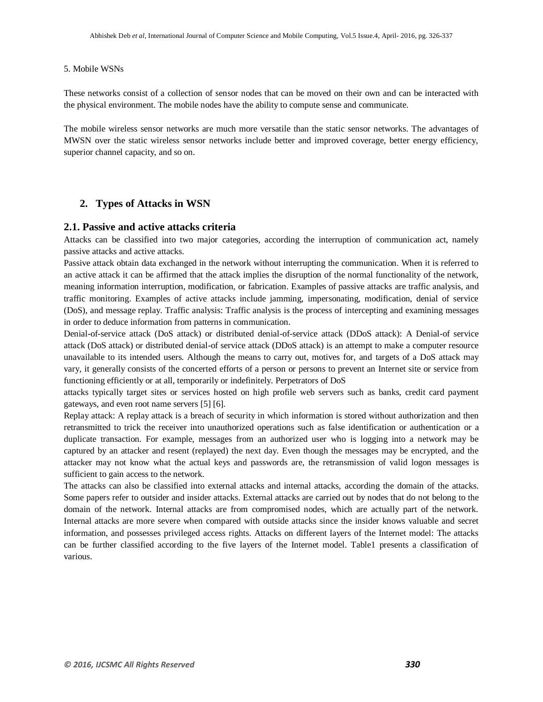#### 5. Mobile WSNs

These networks consist of a collection of sensor nodes that can be moved on their own and can be interacted with the physical environment. The mobile nodes have the ability to compute sense and communicate.

The mobile wireless sensor networks are much more versatile than the static sensor networks. The advantages of MWSN over the static wireless sensor networks include better and improved coverage, better energy efficiency, superior channel capacity, and so on.

#### **2. Types of Attacks in WSN**

#### **2.1. Passive and active attacks criteria**

Attacks can be classified into two major categories, according the interruption of communication act, namely passive attacks and active attacks.

Passive attack obtain data exchanged in the network without interrupting the communication. When it is referred to an active attack it can be affirmed that the attack implies the disruption of the normal functionality of the network, meaning information interruption, modification, or fabrication. Examples of passive attacks are traffic analysis, and traffic monitoring. Examples of active attacks include jamming, impersonating, modification, denial of service (DoS), and message replay. Traffic analysis: Traffic analysis is the process of intercepting and examining messages in order to deduce information from patterns in communication.

Denial-of-service attack (DoS attack) or distributed denial-of-service attack (DDoS attack): A Denial-of service attack (DoS attack) or distributed denial-of service attack (DDoS attack) is an attempt to make a computer resource unavailable to its intended users. Although the means to carry out, motives for, and targets of a DoS attack may vary, it generally consists of the concerted efforts of a person or persons to prevent an Internet site or service from functioning efficiently or at all, temporarily or indefinitely. Perpetrators of DoS

attacks typically target sites or services hosted on high profile web servers such as banks, credit card payment gateways, and even root name servers [5] [6].

Replay attack: A replay attack is a breach of security in which information is stored without authorization and then retransmitted to trick the receiver into unauthorized operations such as false identification or authentication or a duplicate transaction. For example, messages from an authorized user who is logging into a network may be captured by an attacker and resent (replayed) the next day. Even though the messages may be encrypted, and the attacker may not know what the actual keys and passwords are, the retransmission of valid logon messages is sufficient to gain access to the network.

The attacks can also be classified into external attacks and internal attacks, according the domain of the attacks. Some papers refer to outsider and insider attacks. External attacks are carried out by nodes that do not belong to the domain of the network. Internal attacks are from compromised nodes, which are actually part of the network. Internal attacks are more severe when compared with outside attacks since the insider knows valuable and secret information, and possesses privileged access rights. Attacks on different layers of the Internet model: The attacks can be further classified according to the five layers of the Internet model. Table1 presents a classification of various.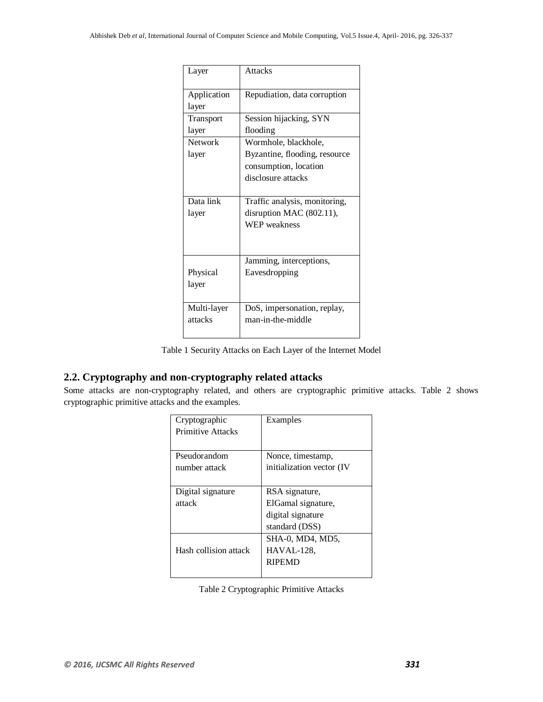| Layer                   | <b>Attacks</b>                                                                                       |
|-------------------------|------------------------------------------------------------------------------------------------------|
| Application<br>layer    | Repudiation, data corruption                                                                         |
| Transport<br>layer      | Session hijacking, SYN<br>flooding                                                                   |
| <b>Network</b><br>layer | Wormhole, blackhole,<br>Byzantine, flooding, resource<br>consumption, location<br>disclosure attacks |
| Data link<br>layer      | Traffic analysis, monitoring,<br>disruption MAC $(802.11)$ ,<br><b>WEP</b> weakness                  |
| Physical<br>layer       | Jamming, interceptions,<br>Eavesdropping                                                             |
| Multi-layer<br>attacks  | DoS, impersonation, replay,<br>man-in-the-middle                                                     |

Table 1 Security Attacks on Each Layer of the Internet Model

# **2.2. Cryptography and non-cryptography related attacks**

Some attacks are non-cryptography related, and others are cryptographic primitive attacks. Table 2 shows cryptographic primitive attacks and the examples.

| Cryptographic            | Examples                  |
|--------------------------|---------------------------|
| <b>Primitive Attacks</b> |                           |
|                          |                           |
| Pseudorandom             | Nonce, timestamp,         |
| number attack            | initialization vector (IV |
|                          |                           |
| Digital signature        | RSA signature,            |
| attack                   | ElGamal signature,        |
|                          | digital signature         |
|                          | standard (DSS)            |
|                          | SHA-0, MD4, MD5,          |
| Hash collision attack    | HAVAL-128.                |
|                          | <b>RIPEMD</b>             |
|                          |                           |

Table 2 Cryptographic Primitive Attacks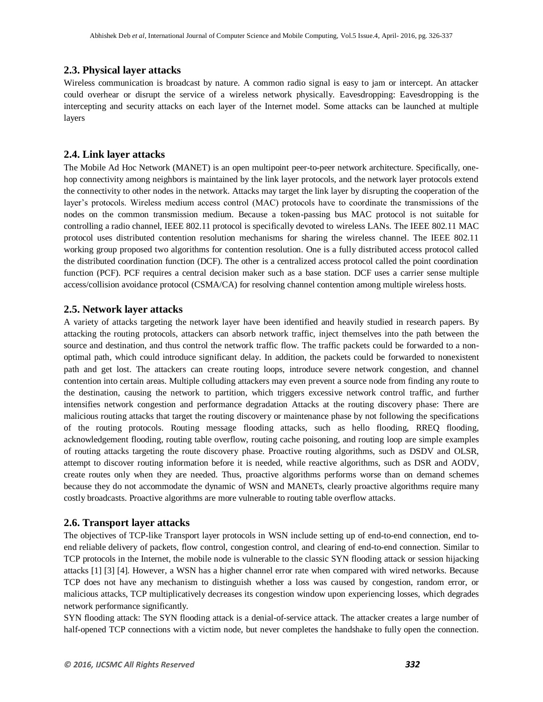## **2.3. Physical layer attacks**

Wireless communication is broadcast by nature. A common radio signal is easy to jam or intercept. An attacker could overhear or disrupt the service of a wireless network physically. Eavesdropping: Eavesdropping is the intercepting and security attacks on each layer of the Internet model. Some attacks can be launched at multiple layers

## **2.4. Link layer attacks**

The Mobile Ad Hoc Network (MANET) is an open multipoint peer-to-peer network architecture. Specifically, onehop connectivity among neighbors is maintained by the link layer protocols, and the network layer protocols extend the connectivity to other nodes in the network. Attacks may target the link layer by disrupting the cooperation of the layer's protocols. Wireless medium access control (MAC) protocols have to coordinate the transmissions of the nodes on the common transmission medium. Because a token-passing bus MAC protocol is not suitable for controlling a radio channel, IEEE 802.11 protocol is specifically devoted to wireless LANs. The IEEE 802.11 MAC protocol uses distributed contention resolution mechanisms for sharing the wireless channel. The IEEE 802.11 working group proposed two algorithms for contention resolution. One is a fully distributed access protocol called the distributed coordination function (DCF). The other is a centralized access protocol called the point coordination function (PCF). PCF requires a central decision maker such as a base station. DCF uses a carrier sense multiple access/collision avoidance protocol (CSMA/CA) for resolving channel contention among multiple wireless hosts.

## **2.5. Network layer attacks**

A variety of attacks targeting the network layer have been identified and heavily studied in research papers. By attacking the routing protocols, attackers can absorb network traffic, inject themselves into the path between the source and destination, and thus control the network traffic flow. The traffic packets could be forwarded to a nonoptimal path, which could introduce significant delay. In addition, the packets could be forwarded to nonexistent path and get lost. The attackers can create routing loops, introduce severe network congestion, and channel contention into certain areas. Multiple colluding attackers may even prevent a source node from finding any route to the destination, causing the network to partition, which triggers excessive network control traffic, and further intensifies network congestion and performance degradation Attacks at the routing discovery phase: There are malicious routing attacks that target the routing discovery or maintenance phase by not following the specifications of the routing protocols. Routing message flooding attacks, such as hello flooding, RREQ flooding, acknowledgement flooding, routing table overflow, routing cache poisoning, and routing loop are simple examples of routing attacks targeting the route discovery phase. Proactive routing algorithms, such as DSDV and OLSR, attempt to discover routing information before it is needed, while reactive algorithms, such as DSR and AODV, create routes only when they are needed. Thus, proactive algorithms performs worse than on demand schemes because they do not accommodate the dynamic of WSN and MANETs, clearly proactive algorithms require many costly broadcasts. Proactive algorithms are more vulnerable to routing table overflow attacks.

#### **2.6. Transport layer attacks**

The objectives of TCP-like Transport layer protocols in WSN include setting up of end-to-end connection, end toend reliable delivery of packets, flow control, congestion control, and clearing of end-to-end connection. Similar to TCP protocols in the Internet, the mobile node is vulnerable to the classic SYN flooding attack or session hijacking attacks [1] [3] [4]. However, a WSN has a higher channel error rate when compared with wired networks. Because TCP does not have any mechanism to distinguish whether a loss was caused by congestion, random error, or malicious attacks, TCP multiplicatively decreases its congestion window upon experiencing losses, which degrades network performance significantly.

SYN flooding attack: The SYN flooding attack is a denial-of-service attack. The attacker creates a large number of half-opened TCP connections with a victim node, but never completes the handshake to fully open the connection.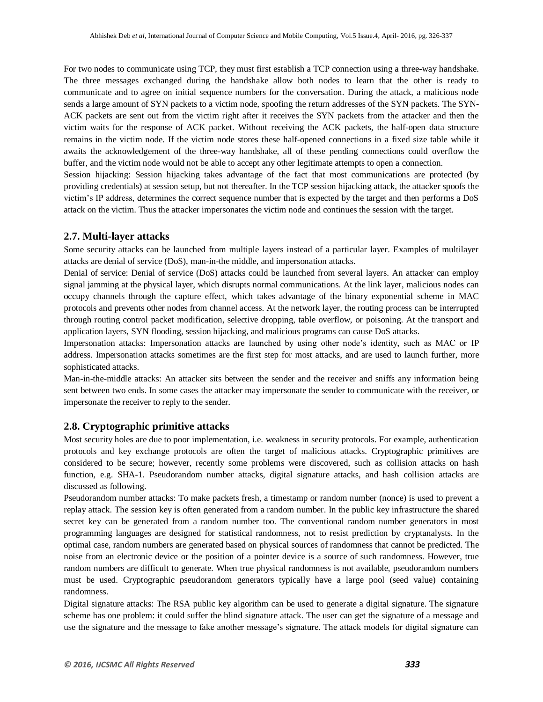For two nodes to communicate using TCP, they must first establish a TCP connection using a three-way handshake. The three messages exchanged during the handshake allow both nodes to learn that the other is ready to communicate and to agree on initial sequence numbers for the conversation. During the attack, a malicious node sends a large amount of SYN packets to a victim node, spoofing the return addresses of the SYN packets. The SYN-ACK packets are sent out from the victim right after it receives the SYN packets from the attacker and then the victim waits for the response of ACK packet. Without receiving the ACK packets, the half-open data structure remains in the victim node. If the victim node stores these half-opened connections in a fixed size table while it awaits the acknowledgement of the three-way handshake, all of these pending connections could overflow the buffer, and the victim node would not be able to accept any other legitimate attempts to open a connection.

Session hijacking: Session hijacking takes advantage of the fact that most communications are protected (by providing credentials) at session setup, but not thereafter. In the TCP session hijacking attack, the attacker spoofs the victim's IP address, determines the correct sequence number that is expected by the target and then performs a DoS attack on the victim. Thus the attacker impersonates the victim node and continues the session with the target.

## **2.7. Multi-layer attacks**

Some security attacks can be launched from multiple layers instead of a particular layer. Examples of multilayer attacks are denial of service (DoS), man-in-the middle, and impersonation attacks.

Denial of service: Denial of service (DoS) attacks could be launched from several layers. An attacker can employ signal jamming at the physical layer, which disrupts normal communications. At the link layer, malicious nodes can occupy channels through the capture effect, which takes advantage of the binary exponential scheme in MAC protocols and prevents other nodes from channel access. At the network layer, the routing process can be interrupted through routing control packet modification, selective dropping, table overflow, or poisoning. At the transport and application layers, SYN flooding, session hijacking, and malicious programs can cause DoS attacks.

Impersonation attacks: Impersonation attacks are launched by using other node's identity, such as MAC or IP address. Impersonation attacks sometimes are the first step for most attacks, and are used to launch further, more sophisticated attacks.

Man-in-the-middle attacks: An attacker sits between the sender and the receiver and sniffs any information being sent between two ends. In some cases the attacker may impersonate the sender to communicate with the receiver, or impersonate the receiver to reply to the sender.

## **2.8. Cryptographic primitive attacks**

Most security holes are due to poor implementation, i.e. weakness in security protocols. For example, authentication protocols and key exchange protocols are often the target of malicious attacks. Cryptographic primitives are considered to be secure; however, recently some problems were discovered, such as collision attacks on hash function, e.g. SHA-1. Pseudorandom number attacks, digital signature attacks, and hash collision attacks are discussed as following.

Pseudorandom number attacks: To make packets fresh, a timestamp or random number (nonce) is used to prevent a replay attack. The session key is often generated from a random number. In the public key infrastructure the shared secret key can be generated from a random number too. The conventional random number generators in most programming languages are designed for statistical randomness, not to resist prediction by cryptanalysts. In the optimal case, random numbers are generated based on physical sources of randomness that cannot be predicted. The noise from an electronic device or the position of a pointer device is a source of such randomness. However, true random numbers are difficult to generate. When true physical randomness is not available, pseudorandom numbers must be used. Cryptographic pseudorandom generators typically have a large pool (seed value) containing randomness.

Digital signature attacks: The RSA public key algorithm can be used to generate a digital signature. The signature scheme has one problem: it could suffer the blind signature attack. The user can get the signature of a message and use the signature and the message to fake another message's signature. The attack models for digital signature can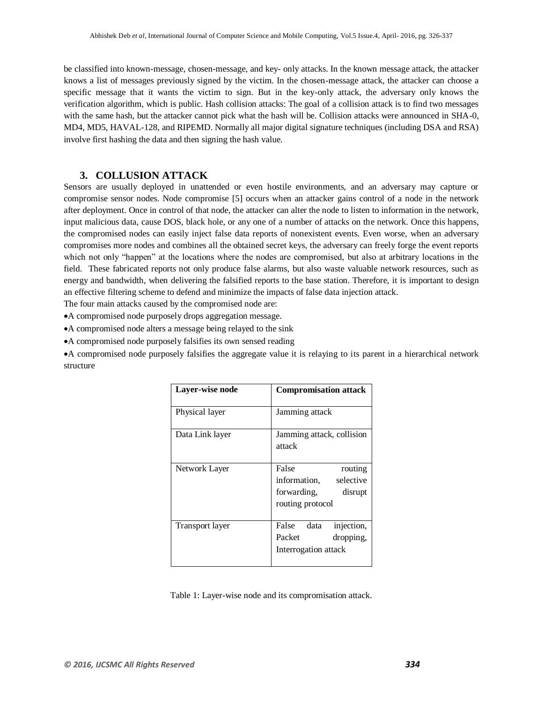be classified into known-message, chosen-message, and key- only attacks. In the known message attack, the attacker knows a list of messages previously signed by the victim. In the chosen-message attack, the attacker can choose a specific message that it wants the victim to sign. But in the key-only attack, the adversary only knows the verification algorithm, which is public. Hash collision attacks: The goal of a collision attack is to find two messages with the same hash, but the attacker cannot pick what the hash will be. Collision attacks were announced in SHA-0, MD4, MD5, HAVAL-128, and RIPEMD. Normally all major digital signature techniques (including DSA and RSA) involve first hashing the data and then signing the hash value.

# **3. COLLUSION ATTACK**

Sensors are usually deployed in unattended or even hostile environments, and an adversary may capture or compromise sensor nodes. Node compromise [5] occurs when an attacker gains control of a node in the network after deployment. Once in control of that node, the attacker can alter the node to listen to information in the network, input malicious data, cause DOS, black hole, or any one of a number of attacks on the network. Once this happens, the compromised nodes can easily inject false data reports of nonexistent events. Even worse, when an adversary compromises more nodes and combines all the obtained secret keys, the adversary can freely forge the event reports which not only "happen" at the locations where the nodes are compromised, but also at arbitrary locations in the field. These fabricated reports not only produce false alarms, but also waste valuable network resources, such as energy and bandwidth, when delivering the falsified reports to the base station. Therefore, it is important to design an effective filtering scheme to defend and minimize the impacts of false data injection attack.

The four main attacks caused by the compromised node are:

A compromised node purposely drops aggregation message.

A compromised node alters a message being relayed to the sink

A compromised node purposely falsifies its own sensed reading

A compromised node purposely falsifies the aggregate value it is relaying to its parent in a hierarchical network structure

| Layer-wise node | <b>Compromisation attack</b>                                                                |
|-----------------|---------------------------------------------------------------------------------------------|
| Physical layer  | Jamming attack                                                                              |
| Data Link layer | Jamming attack, collision<br>attack                                                         |
| Network Layer   | False<br>routing<br>information.<br>selective<br>forwarding,<br>disrupt<br>routing protocol |
| Transport layer | False<br>data<br>injection,<br>Packet<br>dropping,<br>Interrogation attack                  |

Table 1: Layer-wise node and its compromisation attack.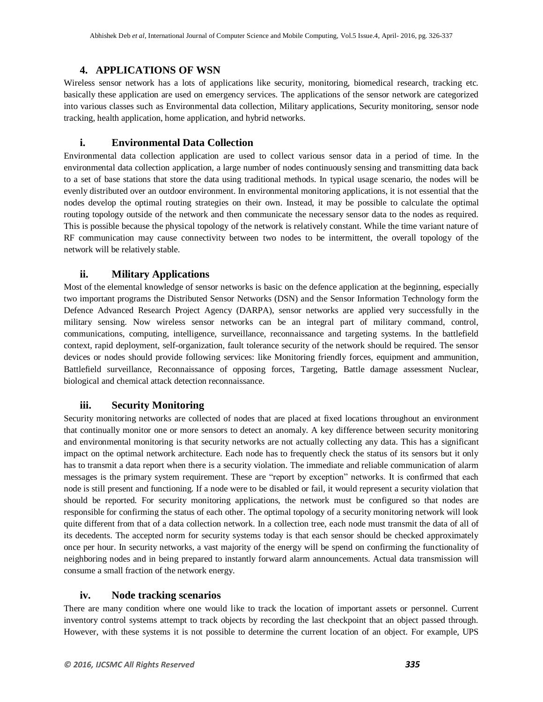# **4. APPLICATIONS OF WSN**

Wireless sensor network has a lots of applications like security, monitoring, biomedical research, tracking etc. basically these application are used on emergency services. The applications of the sensor network are categorized into various classes such as Environmental data collection, Military applications, Security monitoring, sensor node tracking, health application, home application, and hybrid networks.

# **i. Environmental Data Collection**

Environmental data collection application are used to collect various sensor data in a period of time. In the environmental data collection application, a large number of nodes continuously sensing and transmitting data back to a set of base stations that store the data using traditional methods. In typical usage scenario, the nodes will be evenly distributed over an outdoor environment. In environmental monitoring applications, it is not essential that the nodes develop the optimal routing strategies on their own. Instead, it may be possible to calculate the optimal routing topology outside of the network and then communicate the necessary sensor data to the nodes as required. This is possible because the physical topology of the network is relatively constant. While the time variant nature of RF communication may cause connectivity between two nodes to be intermittent, the overall topology of the network will be relatively stable.

# **ii. Military Applications**

Most of the elemental knowledge of sensor networks is basic on the defence application at the beginning, especially two important programs the Distributed Sensor Networks (DSN) and the Sensor Information Technology form the Defence Advanced Research Project Agency (DARPA), sensor networks are applied very successfully in the military sensing. Now wireless sensor networks can be an integral part of military command, control, communications, computing, intelligence, surveillance, reconnaissance and targeting systems. In the battlefield context, rapid deployment, self-organization, fault tolerance security of the network should be required. The sensor devices or nodes should provide following services: like Monitoring friendly forces, equipment and ammunition, Battlefield surveillance, Reconnaissance of opposing forces, Targeting, Battle damage assessment Nuclear, biological and chemical attack detection reconnaissance.

## **iii. Security Monitoring**

Security monitoring networks are collected of nodes that are placed at fixed locations throughout an environment that continually monitor one or more sensors to detect an anomaly. A key difference between security monitoring and environmental monitoring is that security networks are not actually collecting any data. This has a significant impact on the optimal network architecture. Each node has to frequently check the status of its sensors but it only has to transmit a data report when there is a security violation. The immediate and reliable communication of alarm messages is the primary system requirement. These are "report by exception" networks. It is confirmed that each node is still present and functioning. If a node were to be disabled or fail, it would represent a security violation that should be reported. For security monitoring applications, the network must be configured so that nodes are responsible for confirming the status of each other. The optimal topology of a security monitoring network will look quite different from that of a data collection network. In a collection tree, each node must transmit the data of all of its decedents. The accepted norm for security systems today is that each sensor should be checked approximately once per hour. In security networks, a vast majority of the energy will be spend on confirming the functionality of neighboring nodes and in being prepared to instantly forward alarm announcements. Actual data transmission will consume a small fraction of the network energy.

## **iv. Node tracking scenarios**

There are many condition where one would like to track the location of important assets or personnel. Current inventory control systems attempt to track objects by recording the last checkpoint that an object passed through. However, with these systems it is not possible to determine the current location of an object. For example, UPS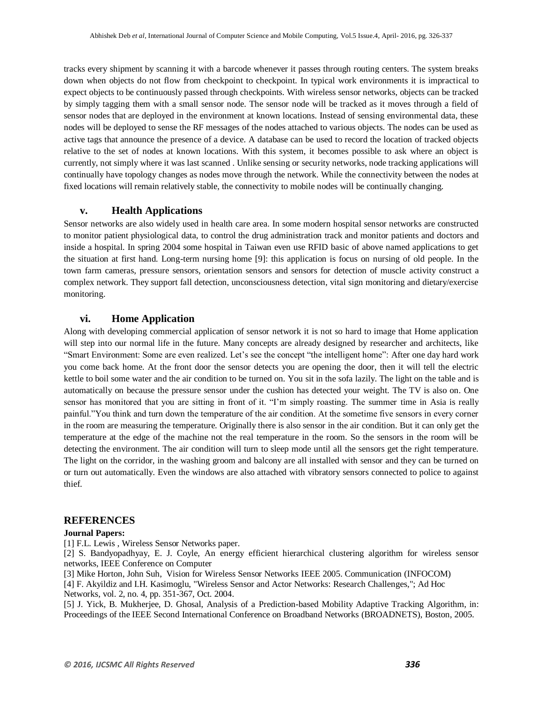tracks every shipment by scanning it with a barcode whenever it passes through routing centers. The system breaks down when objects do not flow from checkpoint to checkpoint. In typical work environments it is impractical to expect objects to be continuously passed through checkpoints. With wireless sensor networks, objects can be tracked by simply tagging them with a small sensor node. The sensor node will be tracked as it moves through a field of sensor nodes that are deployed in the environment at known locations. Instead of sensing environmental data, these nodes will be deployed to sense the RF messages of the nodes attached to various objects. The nodes can be used as active tags that announce the presence of a device. A database can be used to record the location of tracked objects relative to the set of nodes at known locations. With this system, it becomes possible to ask where an object is currently, not simply where it was last scanned . Unlike sensing or security networks, node tracking applications will continually have topology changes as nodes move through the network. While the connectivity between the nodes at fixed locations will remain relatively stable, the connectivity to mobile nodes will be continually changing.

## **v. Health Applications**

Sensor networks are also widely used in health care area. In some modern hospital sensor networks are constructed to monitor patient physiological data, to control the drug administration track and monitor patients and doctors and inside a hospital. In spring 2004 some hospital in Taiwan even use RFID basic of above named applications to get the situation at first hand. Long-term nursing home [9]: this application is focus on nursing of old people. In the town farm cameras, pressure sensors, orientation sensors and sensors for detection of muscle activity construct a complex network. They support fall detection, unconsciousness detection, vital sign monitoring and dietary/exercise monitoring.

## **vi. Home Application**

Along with developing commercial application of sensor network it is not so hard to image that Home application will step into our normal life in the future. Many concepts are already designed by researcher and architects, like "Smart Environment: Some are even realized. Let's see the concept "the intelligent home": After one day hard work you come back home. At the front door the sensor detects you are opening the door, then it will tell the electric kettle to boil some water and the air condition to be turned on. You sit in the sofa lazily. The light on the table and is automatically on because the pressure sensor under the cushion has detected your weight. The TV is also on. One sensor has monitored that you are sitting in front of it. "I'm simply roasting. The summer time in Asia is really painful."You think and turn down the temperature of the air condition. At the sometime five sensors in every corner in the room are measuring the temperature. Originally there is also sensor in the air condition. But it can only get the temperature at the edge of the machine not the real temperature in the room. So the sensors in the room will be detecting the environment. The air condition will turn to sleep mode until all the sensors get the right temperature. The light on the corridor, in the washing groom and balcony are all installed with sensor and they can be turned on or turn out automatically. Even the windows are also attached with vibratory sensors connected to police to against thief.

#### **REFERENCES**

#### **Journal Papers:**

[1] F.L. Lewis , Wireless Sensor Networks paper.

[2] S. Bandyopadhyay, E. J. Coyle, An energy efficient hierarchical clustering algorithm for wireless sensor networks, IEEE Conference on Computer

[3] Mike Horton, John Suh, Vision for Wireless Sensor Networks IEEE 2005. Communication (INFOCOM)

[4] F. Akyildiz and I.H. Kasimoglu, "Wireless Sensor and Actor Networks: Research Challenges,"; Ad Hoc Networks, vol. 2, no. 4, pp. 351-367, Oct. 2004.

[5] J. Yick, B. Mukherjee, D. Ghosal, Analysis of a Prediction-based Mobility Adaptive Tracking Algorithm, in: Proceedings of the IEEE Second International Conference on Broadband Networks (BROADNETS), Boston, 2005.